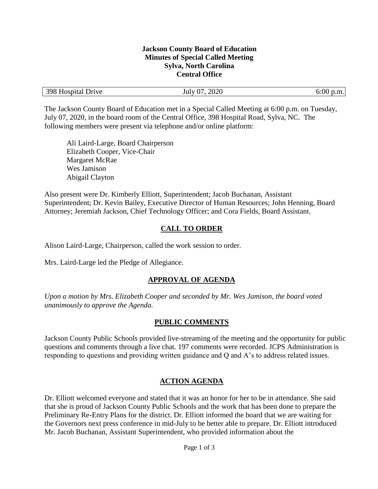### **Jackson County Board of Education Minutes of Special Called Meeting Sylva, North Carolina Central Office**

| 398 Hospital Drive | 2020<br>$\cap$<br>$\int$ uly $\int$ | $\Omega$<br>).m. |
|--------------------|-------------------------------------|------------------|
|                    |                                     |                  |

The Jackson County Board of Education met in a Special Called Meeting at 6:00 p.m. on Tuesday, July 07, 2020, in the board room of the Central Office, 398 Hospital Road, Sylva, NC. The following members were present via telephone and/or online platform:

Ali Laird-Large, Board Chairperson Elizabeth Cooper, Vice-Chair Margaret McRae Wes Jamison Abigail Clayton

Also present were Dr. Kimberly Elliott, Superintendent; Jacob Buchanan, Assistant Superintendent; Dr. Kevin Bailey, Executive Director of Human Resources; John Henning, Board Attorney; Jeremiah Jackson, Chief Technology Officer; and Cora Fields, Board Assistant.

# **CALL TO ORDER**

Alison Laird-Large, Chairperson, called the work session to order.

Mrs. Laird-Large led the Pledge of Allegiance.

### **APPROVAL OF AGENDA**

*Upon a motion by Mrs. Elizabeth Cooper and seconded by Mr. Wes Jamison, the board voted unanimously to approve the Agenda.*

### **PUBLIC COMMENTS**

Jackson County Public Schools provided live-streaming of the meeting and the opportunity for public questions and comments through a live chat. 197 comments were recorded. JCPS Administration is responding to questions and providing written guidance and Q and A's to address related issues.

# **ACTION AGENDA**

Dr. Elliott welcomed everyone and stated that it was an honor for her to be in attendance. She said that she is proud of Jackson County Public Schools and the work that has been done to prepare the Preliminary Re-Entry Plans for the district. Dr. Elliott informed the board that we are waiting for the Governors next press conference in mid-July to be better able to prepare. Dr. Elliott introduced Mr. Jacob Buchanan, Assistant Superintendent, who provided information about the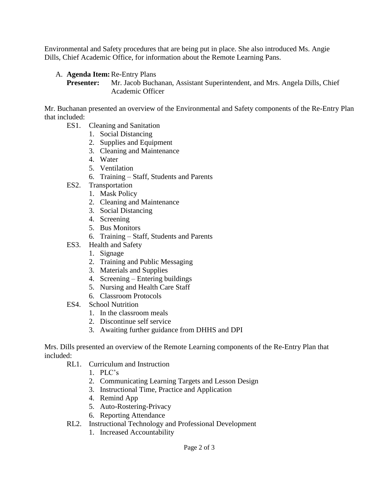Environmental and Safety procedures that are being put in place. She also introduced Ms. Angie Dills, Chief Academic Office, for information about the Remote Learning Pans.

A. **Agenda Item:**Re-Entry Plans

**Presenter:** Mr. Jacob Buchanan, Assistant Superintendent, and Mrs. Angela Dills, Chief Academic Officer

Mr. Buchanan presented an overview of the Environmental and Safety components of the Re-Entry Plan that included:

- ES1. Cleaning and Sanitation
	- 1. Social Distancing
	- 2. Supplies and Equipment
	- 3. Cleaning and Maintenance
	- 4. Water
	- 5. Ventilation
	- 6. Training Staff, Students and Parents
- ES2. Transportation
	- 1. Mask Policy
	- 2. Cleaning and Maintenance
	- 3. Social Distancing
	- 4. Screening
	- 5. Bus Monitors
	- 6. Training Staff, Students and Parents
- ES3. Health and Safety
	- 1. Signage
	- 2. Training and Public Messaging
	- 3. Materials and Supplies
	- 4. Screening Entering buildings
	- 5. Nursing and Health Care Staff
	- 6. Classroom Protocols
- ES4. School Nutrition
	- 1. In the classroom meals
	- 2. Discontinue self service
	- 3. Awaiting further guidance from DHHS and DPI

Mrs. Dills presented an overview of the Remote Learning components of the Re-Entry Plan that included:

- RL1. Curriculum and Instruction
	- 1. PLC's
	- 2. Communicating Learning Targets and Lesson Design
	- 3. Instructional Time, Practice and Application
	- 4. Remind App
	- 5. Auto-Rostering-Privacy
	- 6. Reporting Attendance
- RL2. Instructional Technology and Professional Development
	- 1. Increased Accountability